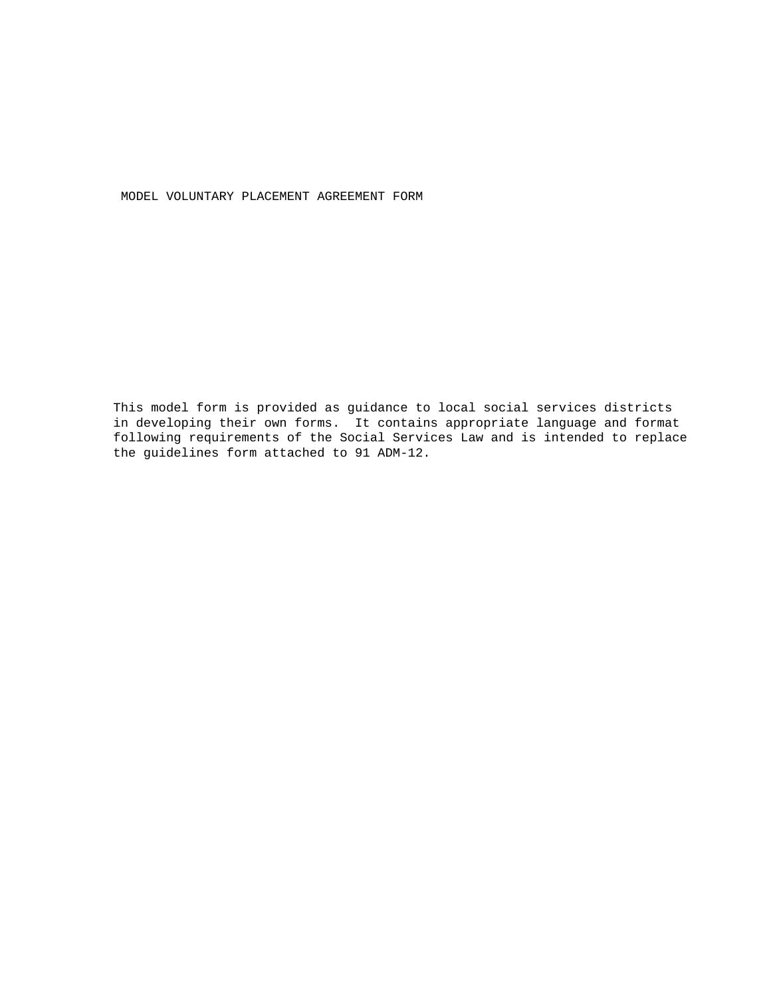MODEL VOLUNTARY PLACEMENT AGREEMENT FORM

This model form is provided as guidance to local social services districts in developing their own forms. It contains appropriate language and format following requirements of the Social Services Law and is intended to replace the guidelines form attached to 91 ADM-12.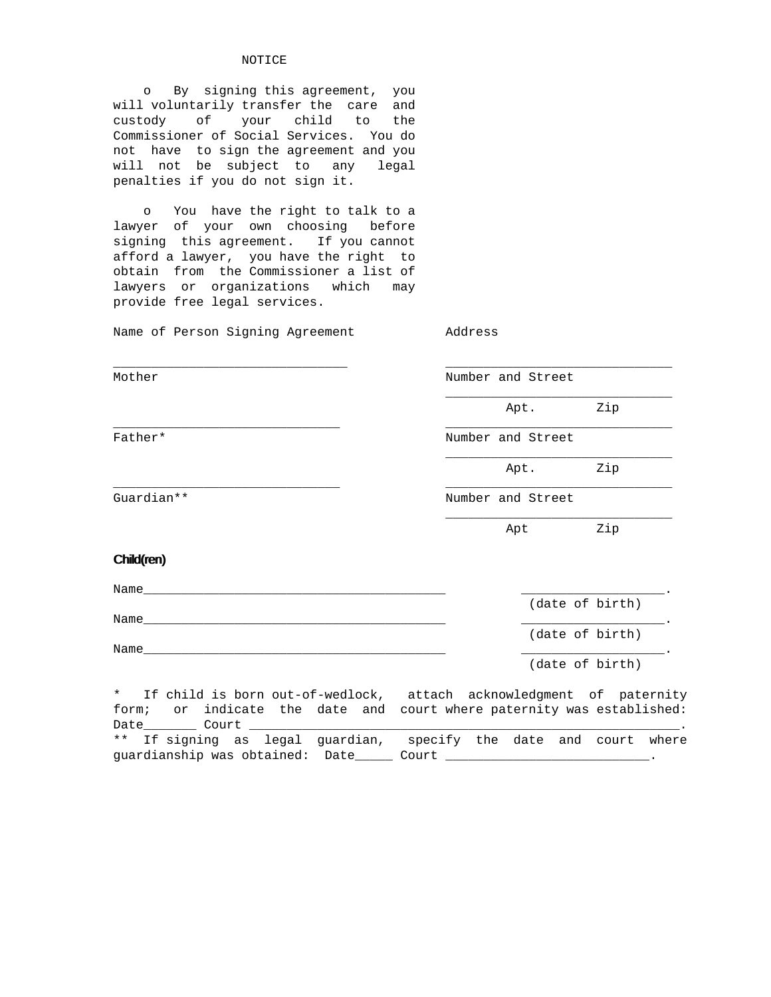### NOTICE

 o By signing this agreement, you will voluntarily transfer the care and custody of your child to the Commissioner of Social Services. You do not have to sign the agreement and you will not be subject to any legal penalties if you do not sign it.

 o You have the right to talk to a lawyer of your own choosing before signing this agreement. If you cannot afford a lawyer, you have the right to obtain from the Commissioner a list of lawyers or organizations which may provide free legal services.

Name of Person Signing Agreement Address

| Mother                                                                        | Number and Street |                 |     |
|-------------------------------------------------------------------------------|-------------------|-----------------|-----|
|                                                                               |                   | Apt.            | Zip |
| Father*                                                                       | Number and Street |                 |     |
|                                                                               |                   | Apt.            | Zip |
| Guardian **                                                                   | Number and Street |                 |     |
|                                                                               |                   | Apt             | Zip |
| Child(ren)                                                                    |                   |                 |     |
| Name                                                                          |                   |                 |     |
| Name____                                                                      |                   | (date of birth) |     |
|                                                                               |                   | (date of birth) |     |
| Name                                                                          |                   | (date of birth) |     |
| If child is born out-of-wedlock, attach acknowledgment of paternity<br>$\ast$ |                   |                 |     |

form; or indicate the date and court where paternity was established: Date\_\_\_\_\_\_\_ Court \_\_\_\_\_\_\_\_\_\_\_\_\_\_\_\_\_\_\_\_\_\_\_\_\_\_\_\_\_\_\_\_\_\_\_\_\_\_\_\_\_\_\_\_\_\_\_\_\_\_\_\_\_\_\_\_\_. \*\* If signing as legal guardian, specify the date and court where guardianship was obtained: Date\_\_\_\_\_\_\_\_ Court \_\_\_\_\_\_\_\_\_\_\_\_\_\_\_\_\_\_\_\_\_\_\_\_\_\_\_\_\_\_\_\_\_\_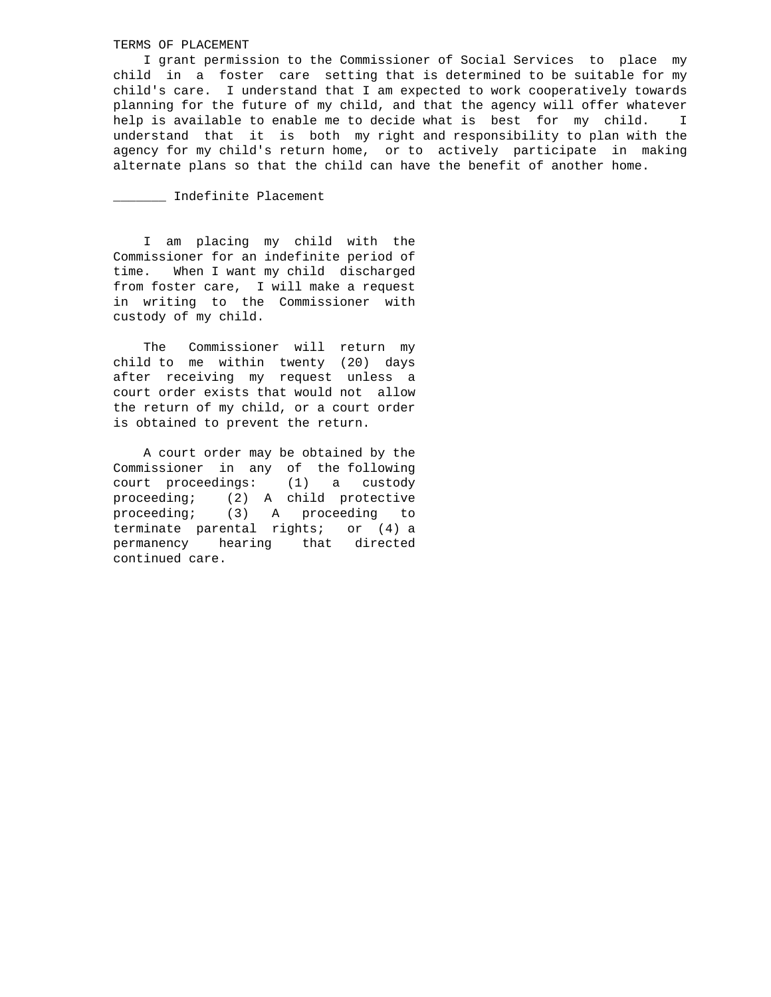# TERMS OF PLACEMENT

 I grant permission to the Commissioner of Social Services to place my child in a foster care setting that is determined to be suitable for my child's care. I understand that I am expected to work cooperatively towards planning for the future of my child, and that the agency will offer whatever help is available to enable me to decide what is best for my child. I understand that it is both my right and responsibility to plan with the agency for my child's return home, or to actively participate in making alternate plans so that the child can have the benefit of another home.

\_\_\_\_\_\_\_ Indefinite Placement

 I am placing my child with the Commissioner for an indefinite period of time. When I want my child discharged from foster care, I will make a request in writing to the Commissioner with custody of my child.

 The Commissioner will return my child to me within twenty (20) days after receiving my request unless a court order exists that would not allow the return of my child, or a court order is obtained to prevent the return.

 A court order may be obtained by the Commissioner in any of the following court proceedings: (1) a custody proceeding; (2) A child protective proceeding; (3) A proceeding to terminate parental rights; or (4) a permanency hearing that directed continued care.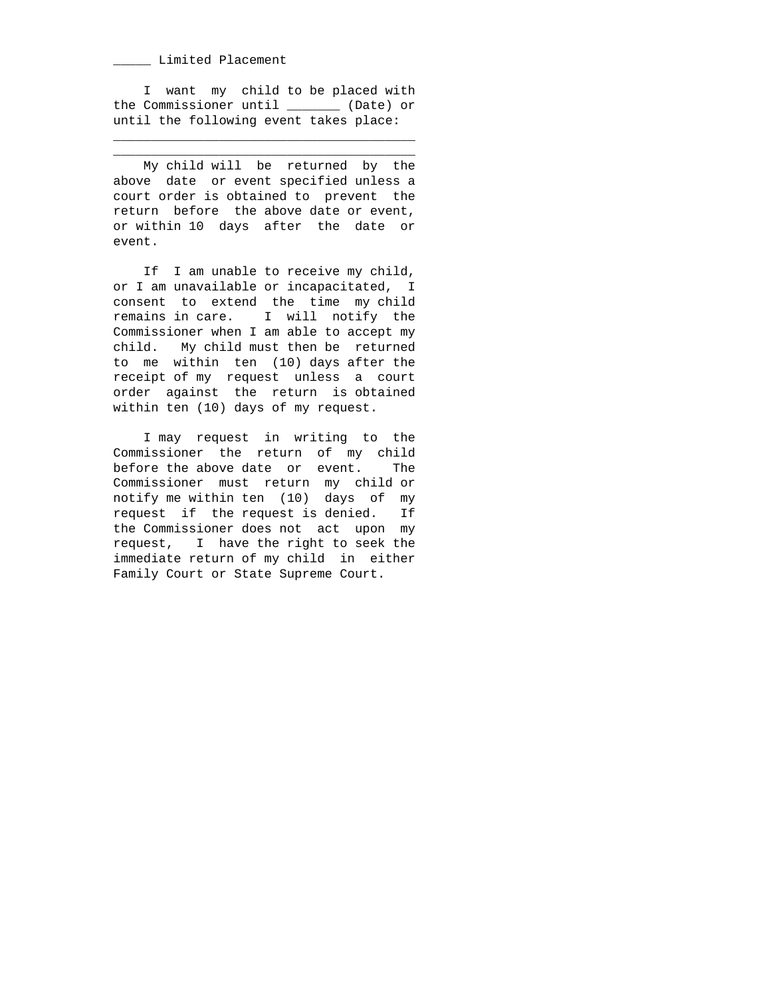### \_\_\_\_\_ Limited Placement

 I want my child to be placed with the Commissioner until \_\_\_\_\_\_\_ (Date) or until the following event takes place:

\_\_\_\_\_\_\_\_\_\_\_\_\_\_\_\_\_\_\_\_\_\_\_\_\_\_\_\_\_\_\_\_\_\_\_\_\_\_\_\_ \_\_\_\_\_\_\_\_\_\_\_\_\_\_\_\_\_\_\_\_\_\_\_\_\_\_\_\_\_\_\_\_\_\_\_\_\_\_\_\_

 My child will be returned by the above date or event specified unless a court order is obtained to prevent the return before the above date or event, or within 10 days after the date or event.

 If I am unable to receive my child, or I am unavailable or incapacitated, I consent to extend the time my child remains in care. I will notify the Commissioner when I am able to accept my child. My child must then be returned to me within ten (10) days after the receipt of my request unless a court order against the return is obtained within ten (10) days of my request.

 I may request in writing to the Commissioner the return of my child before the above date or event. The Commissioner must return my child or notify me within ten (10) days of my request if the request is denied. If the Commissioner does not act upon my request, I have the right to seek the immediate return of my child in either Family Court or State Supreme Court.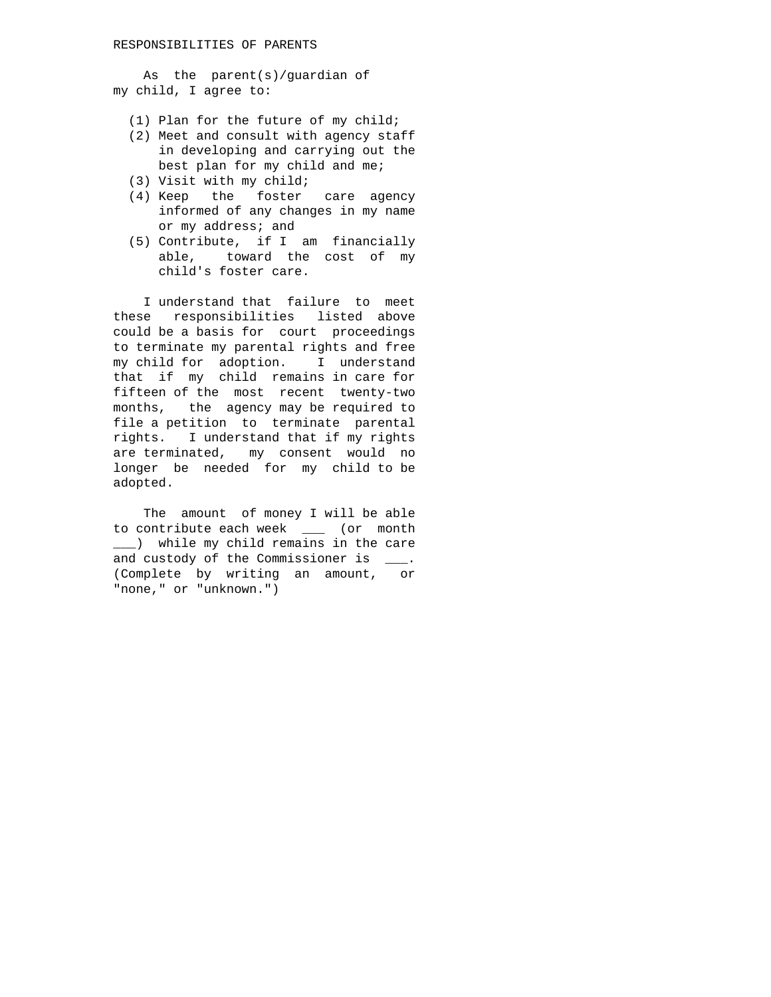As the parent(s)/guardian of my child, I agree to:

- (1) Plan for the future of my child;
- (2) Meet and consult with agency staff in developing and carrying out the best plan for my child and me;
- (3) Visit with my child;
- (4) Keep the foster care agency informed of any changes in my name or my address; and
- (5) Contribute, if I am financially able, toward the cost of my child's foster care.

 I understand that failure to meet these responsibilities listed above could be a basis for court proceedings to terminate my parental rights and free my child for adoption. I understand that if my child remains in care for fifteen of the most recent twenty-two months, the agency may be required to file a petition to terminate parental rights. I understand that if my rights are terminated, my consent would no longer be needed for my child to be adopted.

 The amount of money I will be able to contribute each week \_\_\_ (or month \_\_\_) while my child remains in the care and custody of the Commissioner is \_\_\_. (Complete by writing an amount, or "none," or "unknown.")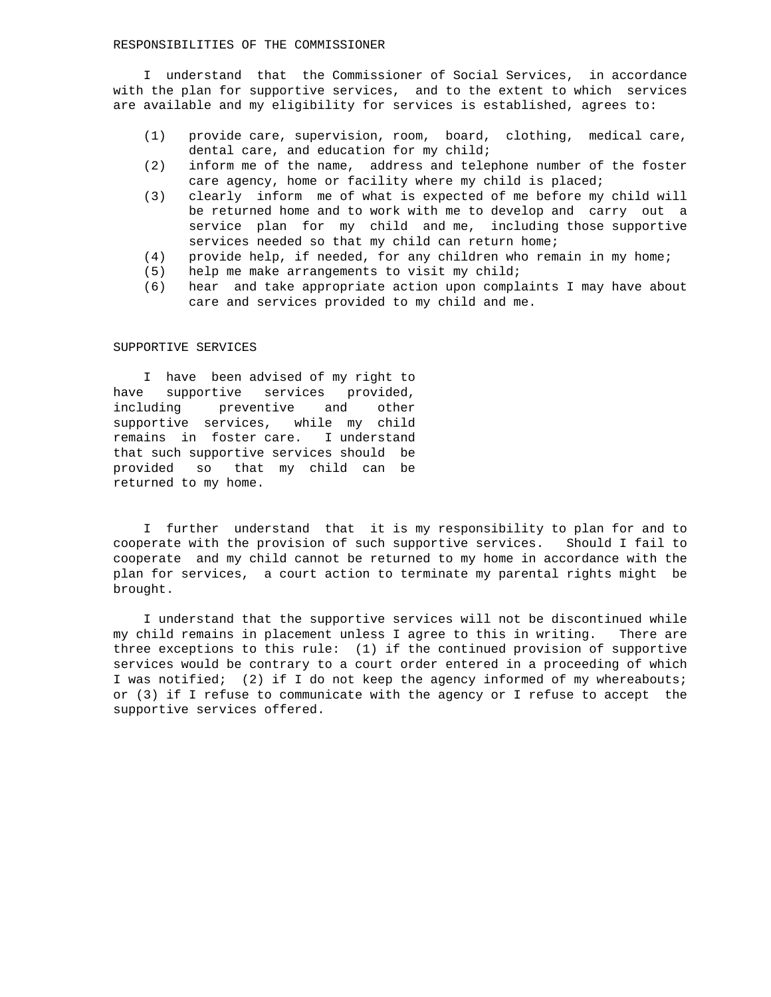### RESPONSIBILITIES OF THE COMMISSIONER

 I understand that the Commissioner of Social Services, in accordance with the plan for supportive services, and to the extent to which services are available and my eligibility for services is established, agrees to:

- (1) provide care, supervision, room, board, clothing, medical care, dental care, and education for my child;
- (2) inform me of the name, address and telephone number of the foster care agency, home or facility where my child is placed;
- (3) clearly inform me of what is expected of me before my child will be returned home and to work with me to develop and carry out a service plan for my child and me, including those supportive services needed so that my child can return home;
- (4) provide help, if needed, for any children who remain in my home;
- (5) help me make arrangements to visit my child;
- (6) hear and take appropriate action upon complaints I may have about care and services provided to my child and me.

# SUPPORTIVE SERVICES

 I have been advised of my right to have supportive services provided, including preventive and other supportive services, while my child remains in foster care. I understand that such supportive services should be provided so that my child can be returned to my home.

 I further understand that it is my responsibility to plan for and to cooperate with the provision of such supportive services. Should I fail to cooperate and my child cannot be returned to my home in accordance with the plan for services, a court action to terminate my parental rights might be brought.

 I understand that the supportive services will not be discontinued while my child remains in placement unless I agree to this in writing. There are three exceptions to this rule: (1) if the continued provision of supportive services would be contrary to a court order entered in a proceeding of which I was notified; (2) if I do not keep the agency informed of my whereabouts; or (3) if I refuse to communicate with the agency or I refuse to accept the supportive services offered.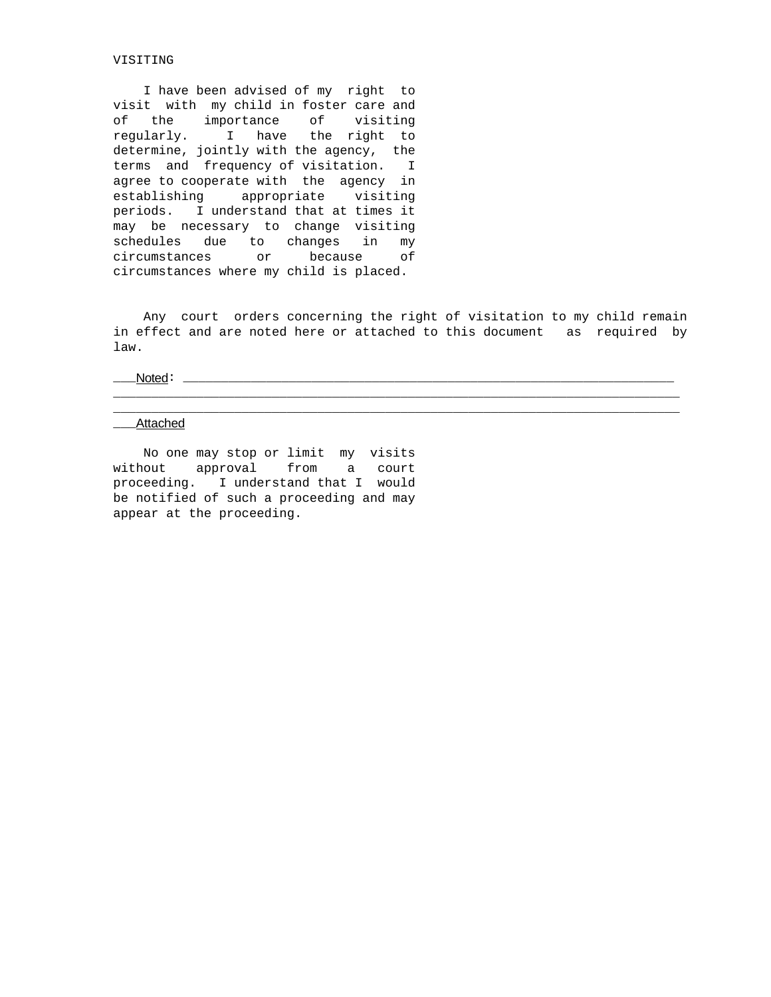### VISITING

 I have been advised of my right to visit with my child in foster care and of the importance of visiting regularly. I have the right to determine, jointly with the agency, the terms and frequency of visitation. I agree to cooperate with the agency in establishing appropriate visiting periods. I understand that at times it may be necessary to change visiting schedules due to changes in my circumstances or because of circumstances where my child is placed.

 Any court orders concerning the right of visitation to my child remain in effect and are noted here or attached to this document as required by law.

\_\_\_\_\_\_\_\_\_\_\_\_\_\_\_\_\_\_\_\_\_\_\_\_\_\_\_\_\_\_\_\_\_\_\_\_\_\_\_\_\_\_\_\_\_\_\_\_\_\_\_\_\_\_\_\_\_\_\_\_\_\_\_\_\_\_\_\_\_\_\_\_\_\_\_ \_\_\_\_\_\_\_\_\_\_\_\_\_\_\_\_\_\_\_\_\_\_\_\_\_\_\_\_\_\_\_\_\_\_\_\_\_\_\_\_\_\_\_\_\_\_\_\_\_\_\_\_\_\_\_\_\_\_\_\_\_\_\_\_\_\_\_\_\_\_\_\_\_\_\_

\_\_\_Noted: \_\_\_\_\_\_\_\_\_\_\_\_\_\_\_\_\_\_\_\_\_\_\_\_\_\_\_\_\_\_\_\_\_\_\_\_\_\_\_\_\_\_\_\_\_\_\_\_\_\_\_\_\_\_\_\_\_\_\_\_\_\_\_\_\_

#### \_\_\_Attached

 No one may stop or limit my visits without approval from a court proceeding. I understand that I would be notified of such a proceeding and may appear at the proceeding.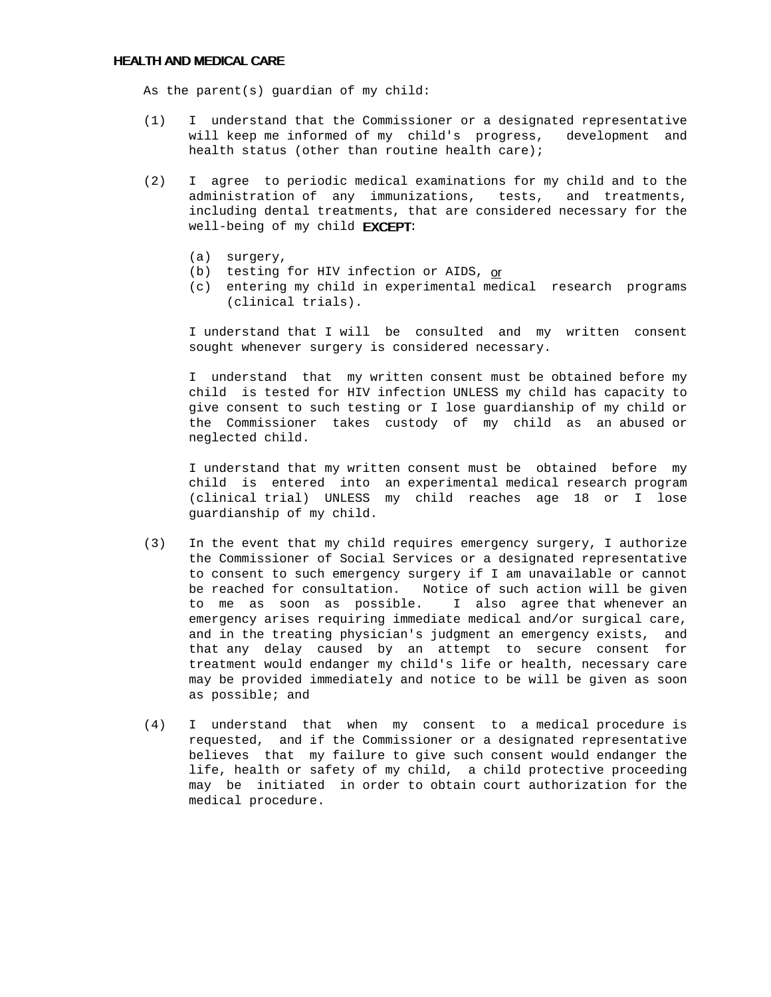## HEALTH AND MEDICAL CARE

As the parent(s) guardian of my child:

- (1) I understand that the Commissioner or a designated representative will keep me informed of my child's progress, development and health status (other than routine health care);
- (2) I agree to periodic medical examinations for my child and to the administration of any immunizations, tests, and treatments, including dental treatments, that are considered necessary for the well-being of my child **EXCEPT:** 
	- (a) surgery,
	- (b) testing for HIV infection or AIDS, or
	- (c) entering my child in experimental medical research programs (clinical trials).

 I understand that I will be consulted and my written consent sought whenever surgery is considered necessary.

 I understand that my written consent must be obtained before my child is tested for HIV infection UNLESS my child has capacity to give consent to such testing or I lose guardianship of my child or the Commissioner takes custody of my child as an abused or neglected child.

 I understand that my written consent must be obtained before my child is entered into an experimental medical research program (clinical trial) UNLESS my child reaches age 18 or I lose guardianship of my child.

- (3) In the event that my child requires emergency surgery, I authorize the Commissioner of Social Services or a designated representative to consent to such emergency surgery if I am unavailable or cannot be reached for consultation. Notice of such action will be given to me as soon as possible. I also agree that whenever an emergency arises requiring immediate medical and/or surgical care, and in the treating physician's judgment an emergency exists, and that any delay caused by an attempt to secure consent for treatment would endanger my child's life or health, necessary care may be provided immediately and notice to be will be given as soon as possible; and
- (4) I understand that when my consent to a medical procedure is requested, and if the Commissioner or a designated representative believes that my failure to give such consent would endanger the life, health or safety of my child, a child protective proceeding may be initiated in order to obtain court authorization for the medical procedure.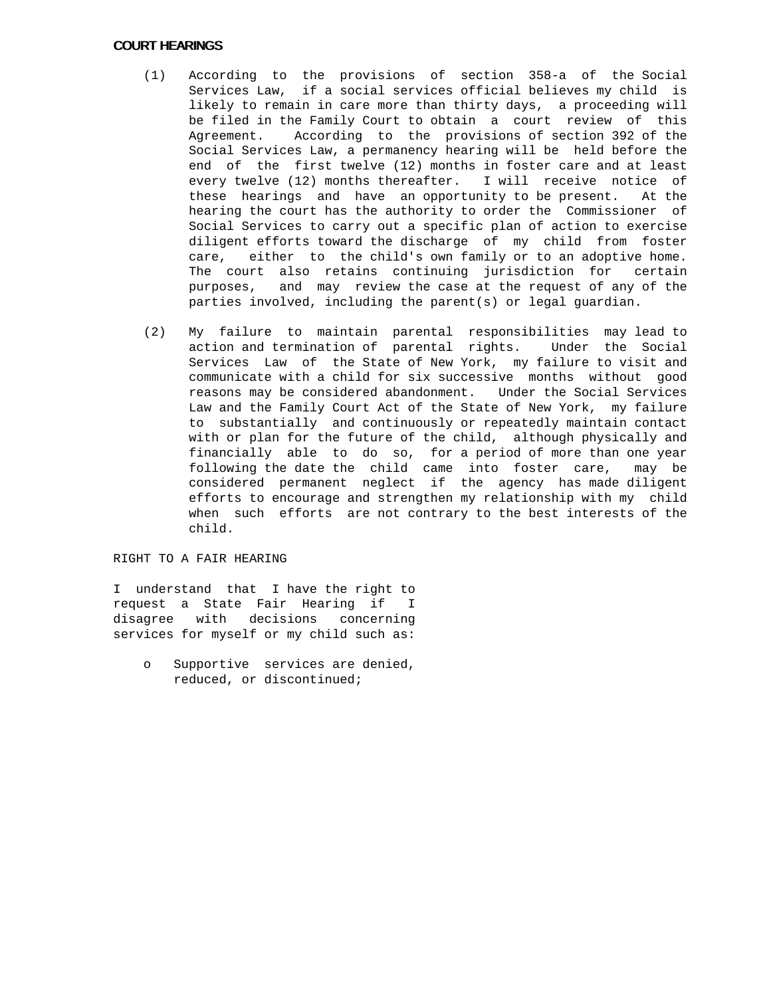## COURT HEARINGS

- (1) According to the provisions of section 358-a of the Social Services Law, if a social services official believes my child is likely to remain in care more than thirty days, a proceeding will be filed in the Family Court to obtain a court review of this Agreement. According to the provisions of section 392 of the Social Services Law, a permanency hearing will be held before the end of the first twelve (12) months in foster care and at least every twelve (12) months thereafter. I will receive notice of these hearings and have an opportunity to be present. At the hearing the court has the authority to order the Commissioner of Social Services to carry out a specific plan of action to exercise diligent efforts toward the discharge of my child from foster care, either to the child's own family or to an adoptive home. The court also retains continuing jurisdiction for certain purposes, and may review the case at the request of any of the parties involved, including the parent(s) or legal guardian.
- (2) My failure to maintain parental responsibilities may lead to action and termination of parental rights. Under the Social Services Law of the State of New York, my failure to visit and communicate with a child for six successive months without good reasons may be considered abandonment. Under the Social Services Law and the Family Court Act of the State of New York, my failure to substantially and continuously or repeatedly maintain contact with or plan for the future of the child, although physically and financially able to do so, for a period of more than one year following the date the child came into foster care, may be considered permanent neglect if the agency has made diligent efforts to encourage and strengthen my relationship with my child when such efforts are not contrary to the best interests of the child.

## RIGHT TO A FAIR HEARING

I understand that I have the right to request a State Fair Hearing if I disagree with decisions concerning services for myself or my child such as:

 o Supportive services are denied, reduced, or discontinued;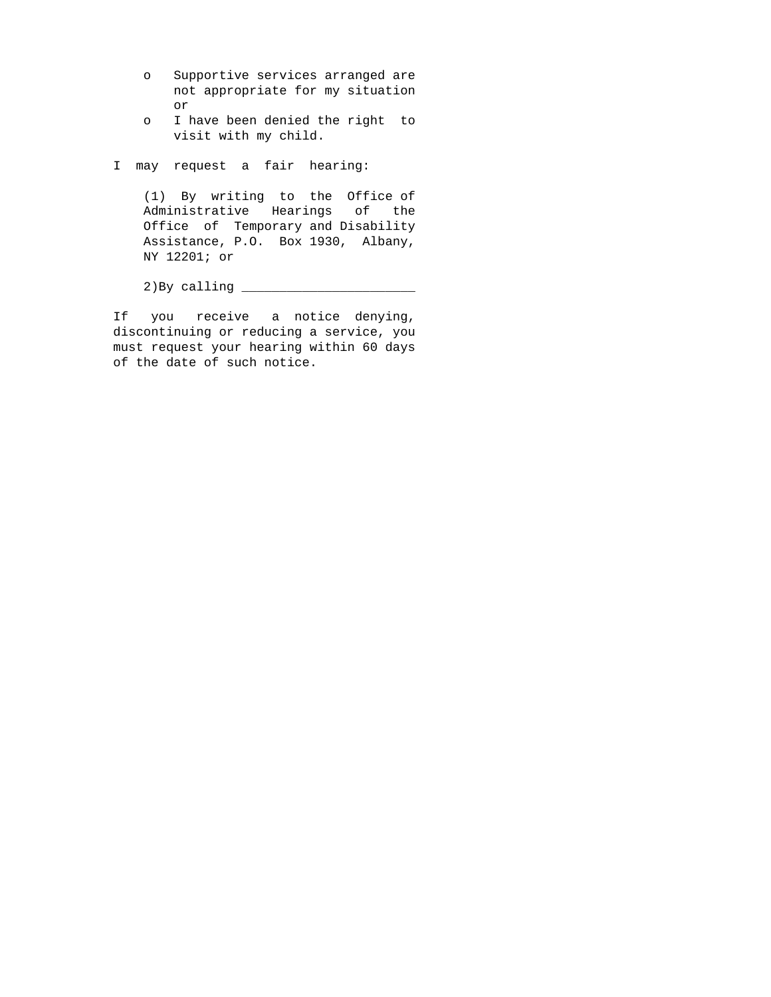- o Supportive services arranged are not appropriate for my situation or
- o I have been denied the right to visit with my child.

I may request a fair hearing:

 (1) By writing to the Office of Administrative Hearings of the Office of Temporary and Disability Assistance, P.O. Box 1930, Albany, NY 12201; or

2)By calling \_\_\_\_\_\_\_\_\_\_\_\_\_\_\_\_\_\_\_\_\_\_\_

If you receive a notice denying, discontinuing or reducing a service, you must request your hearing within 60 days of the date of such notice.